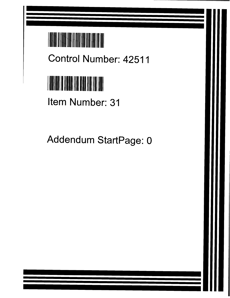

**Control Number**: **42511**



Item Number: 31

Addendum StartPage: 0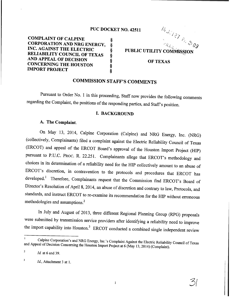#### PUC DOCKET NO. 42511

COMPLAINT OF CALPINE § CORPORATION AND NRG ENERGY, §<br>
INC. AGAINST THE ELECTRIC §<br>
RELIABILITY COUNCIL OF TEXAS §<br>
AND APPEAL OF DECISION §<br>
CONCERNING THE HOUSTON §<br>
MPORT PROJECT § INC. AGAINST THE ELECTRIC RELIABILITY COUNCIL OF TEXAS AND APPEAL OF DECISION **CONCERNING THE HOUSTON IMPORT PROJECT** 

 $\mathcal{H}_{\mathbf{f}}$  .  $\cdot \cdot$ 09 PUBLIC UTILITY COMMISSION OF TEXAS

# COMMISSION STAFF'S COMMENTS

Pursuant to Order No. 1 in this proceeding, Staff now provides the following comments regarding the Complaint, the positions of the responding parties, and Staff's position.

#### I. BACKGROUND

### A. The Complaint.

On May 13, 2014, Calpine Corporation (Calpine) and NRG Energy, Inc. (NRG) (collectively, Complainants) filed a complaint against the Electric Reliability Council of Texas (ERCOT) and appeal of the ERCOT Board's approval of the Houston Import Project (HIP) pursuant to P.U.C. PROC. R. 22.251. Complainants allege that ERCOT's methodology and choices in its determination of a reliability need for the HIP collectively amount to an abuse of ERCOT's discretion, in contravention to the protocols and procedures that ERCOT has developed.' Therefore, Complainants request that the Commission find ERCOT's Board of Director's Resolution of April 8, 2014, an abuse of discretion and contrary to law, Protocols, and standards, and instruct ERCOT to re-examine its recommendation for the HIP without erroneous methodologies and assumptions.2

In July and August of 2013, three different Regional Planning Group (RPG) proposals were submitted by transmission service providers after identifying a reliability need to improve the import capability into Houston.<sup>3</sup> ERCOT conducted a combined single independent review

1

 $\mathcal{O}$ 

Calpine Corporation's and NRG Energy, Inc.'s Complaint Against the Electric Reliability Council of Texas and Appeal of Decision Concerning the Houston Import Project at 6 (May 13, 2014) (Complaint).

*<sup>2</sup> Id.* at 6 and 39.

*<sup>3</sup> Id.,* Attachment 3 at 1.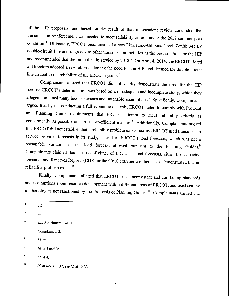of the HIP proposals, and based on the result of that independent review concluded that transmission reinforcement was needed to meet reliability criteria under the 2018 summer peak condition.4 Ultimately, ERCOT recommended a new Limestone-Gibbons Creek-Zenith 345 kV double-circuit line and upgrades to other transmission facilities as the best solution for the HIP and recommended that the project be in service by  $2018<sup>5</sup>$  On April 8, 2014, the ERCOT Board of Directors adopted a resolution endorsing the need for the HIP, and deemed the double-circuit line critical to the reliability of the ERCOT system.<sup>6</sup>

Complainants alleged that ERCOT did not validly demonstrate the need for the HIP because ERCOT's determination was based on an inadequate and incomplete study, which they alleged contained many inconsistencies and untenable assumptions.<sup>7</sup> Specifically, Complainants argued that by not conducting a full economic analysis, ERCOT failed to comply with Protocol and Planning Guide requirements that ERCOT attempt to meet reliability criteria as economically as possible and in a cost-efficient manner.<sup>8</sup> Additionally, Complainants argued that ERCOT did not establish that a reliability problem exists because ERCOT used transmission service provider forecasts in its study, instead of ERCOT's load forecasts, which was not a reasonable variation in the load forecast allowed pursuant to the Planning Guides.<sup>9</sup> Complainants claimed that the use of either of ERCOT's load forecasts, either the Capacity, Demand, and Reserves Reports (CDR) or the 90/10 extreme weather cases, demonstrated that no reliability problem exists. 10

Finally, Complainants alleged that ERCOT used inconsistent and conflicting standards and assumptions about resource development within different areas of ERCOT, and used scaling methodologies not sanctioned by the Protocols or Planning Guides.<sup>11</sup> Complainants argued that

- **'Complaint at 2.**
- *<sup>8</sup> Id.* **at 3.**

 $\frac{4}{10}$ 

*<sup>5</sup> Id.*

*<sup>6</sup> Id.,* **Attachment 2 at 11.**

*<sup>9</sup> Id.* **at 3 and 26.**

*<sup>10</sup> Id.* **at 4.**

*<sup>11</sup> Id* **at 4-5, and 37;** *see id.* **at 19-22.**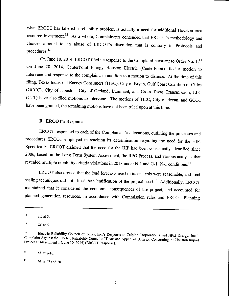what ERCOT has labeled a reliability problem is actually a need for additional Houston area resource investment.<sup>12</sup> As a whole, Complainants contended that ERCOT's methodology and choices amount to an abuse of ERCOT's discretion that is contrary to Protocols and procedures.13

On June 10, 2014, ERCOT filed its response to the Complaint pursuant to Order No. 1.<sup>14</sup> On June 20, 2014, CenterPoint Energy Houston Electric (CenterPoint) filed a motion to intervene and response to the complaint, in addition to a motion to dismiss. At the time of this filing, Texas Industrial Energy Consumers (TIEC), City of Bryan, Gulf Coast Coalition of Cities (GCCC), City of Houston, City of Garland, Luminant, and Cross Texas Transmission, LLC (CTT) have also filed motions to intervene. The motions of TIEC, City of Bryan, and GCCC have been granted, the remaining motions have not been ruled upon at this time.

## B. ERCOT's **Response**

ERCOT responded to each of the Complainant's allegations, outlining the processes and procedures ERCOT employed in reaching its determination regarding the need for the HIP. Specifically, ERCOT claimed that the need for the HIP had been consistently identified since 2006, based on the Long Term System Assessment, the RPG Process, and various analyses that revealed multiple reliability criteria violations in 2018 under N-1 and G-1+N-1 conditions. 15

ERCOT also argued that the load forecasts used in its analysis were reasonable, and load scaling techniques did not affect the identification of the project need.<sup>16</sup> Additionally, ERCOT maintained that it considered the economic consequences of the project, and accounted for planned generation resources, in accordance with Commission rules and ERCOT Planning

*<sup>15</sup> Ia.* at 8-16.

 $12$  *Id.* at 5.

 $13$  *Id.* at 6.

la Electric Reliability Council of Texas, Inc.'s Response to Calpine Corporation's and NRG Energy, Inc.'s Complaint Against the Electric Reliability Council of Texas and Appeal of Decision Concerning the Houston Import Project at Attachment 1(June 10, 2014) (ERCOT Response).

*<sup>16</sup> Id.* at 17 and 20.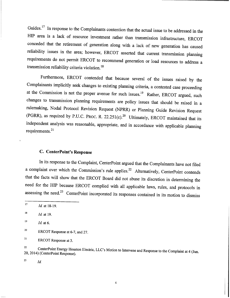Guides.<sup>17</sup> In response to the Complainants contention that the actual issue to be addressed in the HIP area is a lack of resource investment rather than transmission infrastructure, ERCOT conceded that the retirement of generation along with a lack of new generation has caused reliability issues in the area; however, ERCOT asserted that current transmission planning requirements do not permit ERCOT to recommend generation or load resources to address a transmission reliability criteria violation.<sup>18</sup>

Furthermore, ERCOT contended that because several of the issues raised by the Complainants implicitly seek changes to existing planning criteria, a contested case proceeding at the Commission is not the proper avenue for such issues.<sup>19</sup> Rather, ERCOT argued, such changes to transmission planning requirements are policy issues that should be raised in a rulemaking, Nodal Protocol Revision Request (NPRR) or Planning Guide Revision Request (PGRR), as required by P.U.C. PROC. R. 22.251(c).<sup>20</sup> Ultimately, ERCOT maintained that its independent analysis was reasonable, appropriate, and in accordance with applicable planning requirements. $21$ 

## C. CenterPoint's **Response**

In its response to the Complaint, CenterPoint argued that the Complainants have not filed a complaint over which the Commission's rule applies.<sup>22</sup> Alternatively, CenterPoint contends that the facts will show that the ERCOT Board did not abuse its discretion in determining the need for the HIP because ERCOT complied with all applicable laws, rules, and protocols in assessing the need.<sup>23</sup> CenterPoint incorporated its responses contained in its motion to dismiss

ę.

**<sup>21</sup> ERCOT Response at 3.**

*<sup>23</sup> Id.*

*<sup>17</sup> Id* **at 18-19.**

*<sup>18</sup> Id.* **at 19.**

*<sup>19</sup> Id.* **at 6.**

**<sup>20</sup> ERCOT Response at 6-7, and 27.**

<sup>22</sup> **CenterPoint Energy Houston Electric,** LLC's **Motion to Intervene and Response to the Complaint at 4 (Jun. 20, 2014)** (**CenterPoint Response).**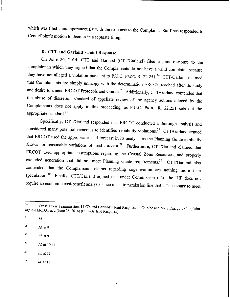which was filed contemporaneously with the response to the Complaint. Staff has responded to CenterPoint's motion to dismiss in a separate filing.

# D. CTT **and Garland's Joint Response**

On June 26, 2014, CTT and Garland (CTT/Garland) filed a joint response to the complaint in which they argued that the Complainants do not have a valid complaint because they have not alleged a violation pursuant to P.U.C. PROC. R. 22.251.<sup>24</sup> CTT/Garland claimed that Complainants are simply unhappy with the determination ERCOT reached after its study and desire to amend ERCOT Protocols and Guides.<sup>25</sup> Additionally, CTT/Garland contended that the abuse of discretion standard of appellate review of the agency actions alleged by the Complainants does not apply in this proceeding, as P.U.C. PROC. R. 22.251 sets out the appropriate standard.<sup>26</sup>

Specifically, CTT/Garland responded that ERCOT conducted a thorough analysis and considered many potential remedies to identified reliability violations.<sup>27</sup> CTT/Garland argued that ERCOT used the appropriate load forecast in its analysis as the Planning Guide explicitly allows for reasonable variations of load forecast.<sup>28</sup> Furthermore, CTT/Garland claimed that ERCOT used appropriate assumptions regarding the Coastal Zone Resources, and properly excluded generation that did not meet Planning Guide requirements.<sup>29</sup> CTT/Garland also contended that the Complainants claims regarding cogeneration are nothing more than speculation.<sup>30</sup> Finally, CTT/Garland argued that under Commission rules the HIP does not require an economic cost-benefit analysis since it is a transmission line that is "necessary to meet

- *<sup>27</sup> Id.* at 9.
- <sup>28</sup> *Id.* at 10-11.

<sup>24</sup> Cross Texas Transmission, LLC's and Garland's Joint Response to Calpine and NRG Energy's Complaint against ERCOT at 2 (June 26, 2014) (CTT/Garland Response).

<sup>25</sup> *Id.*

<sup>26</sup> *Id.* at 9

*<sup>29</sup> Id.* at 12.

<sup>30</sup> *Id.* at 13.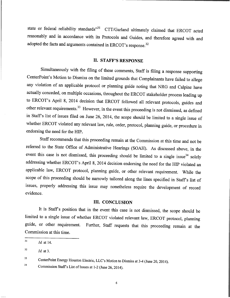**state or federal** reliability **standards"31** CTT/Garland ultimately **claimed that** ERCOT acted **reasonably and in accordance with its Protocols** and Guides, **and therefore agreed with and adopted the facts and arguments contained** in ERCOT's **response.32**

#### II. STAFF'S **RESPONSE**

Simultaneously with the filing of these comments, Staff is filing a response supporting CenterPoint's Motion to Dismiss on the limited grounds that Complainants have failed to allege any violation of an applicable protocol or planning guide noting that NRG and Calpine have actually conceded, on multiple occasions, throughout the ERCOT stakeholder process leading up to ERCOT's April 8, 2014 decision that ERCOT followed all relevant protocols, guides and other relevant requirements.<sup>33</sup> However, in the event this proceeding is not dismissed, as defined in Staff's list of issues filed on June 26, 2014, the scope should be limited to a single issue of whether ERCOT violated any relevant law, rule, order, protocol, planning guide, or procedure in endorsing the need for the HIP.

Staff recommends that this proceeding remain at the Commission at this time and not be referred to the State Office of Administrative Hearings (SOAH). As discussed above, in the event this case is not dismissed, this proceeding should be limited to a single issue $34$  solely addressing whether ERCOT's April 8, 2014 decision endorsing the need for the HIP violated an applicable law, ERCOT protocol, planning guide, or other relevant requirement. While the scope of this proceeding should be narrowly tailored along the lines specified in Staff's list of issues, properly addressing this issue may nonetheless require the development of record evidence.

#### III. CONCLUSION

It is Staff's position that in the event this case is not dismissed, the scope should be **limited to a single issue** of whether ERCOT violated **relevant law,** ERCOT protocol, **planning guide, or other requirement.** Further, **Staff requests** that this **proceeding remain at the Commission at this time.**

**<sup>33</sup> CenterPoint Energy Houston Electric,** LLC's **Motion to Dismiss at 3-4 (June 20, 2014).**

3 **4 Commission Staff's List of Issues at 1-2 (June 26, 2014).**

*<sup>31</sup> Id.* at 14.

 $^{32}$  *Id.* at 3.